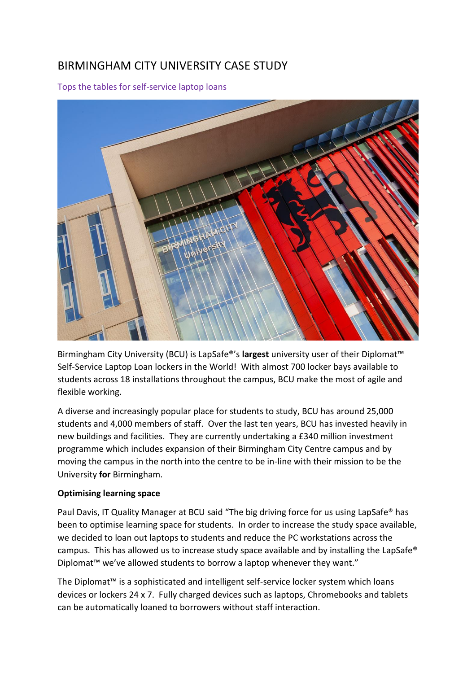## BIRMINGHAM CITY UNIVERSITY CASE STUDY

Tops the tables for self-service laptop loans



Birmingham City University (BCU) is LapSafe®'s **largest** university user of their Diplomat™ Self-Service Laptop Loan lockers in the World! With almost 700 locker bays available to students across 18 installations throughout the campus, BCU make the most of agile and flexible working.

A diverse and increasingly popular place for students to study, BCU has around 25,000 students and 4,000 members of staff. Over the last ten years, BCU has invested heavily in new buildings and facilities. They are currently undertaking a £340 million investment programme which includes expansion of their Birmingham City Centre campus and by moving the campus in the north into the centre to be in-line with their mission to be the University **for** Birmingham.

## **Optimising learning space**

Paul Davis, IT Quality Manager at BCU said "The big driving force for us using LapSafe® has been to optimise learning space for students. In order to increase the study space available, we decided to loan out laptops to students and reduce the PC workstations across the campus. This has allowed us to increase study space available and by installing the LapSafe® Diplomat™ we've allowed students to borrow a laptop whenever they want."

The Diplomat™ is a sophisticated and intelligent self-service locker system which loans devices or lockers 24 x 7. Fully charged devices such as laptops, Chromebooks and tablets can be automatically loaned to borrowers without staff interaction.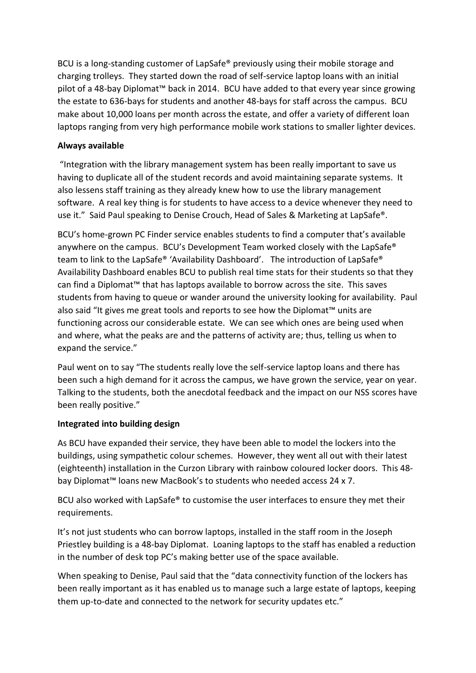BCU is a long-standing customer of LapSafe® previously using their mobile storage and charging trolleys. They started down the road of self-service laptop loans with an initial pilot of a 48-bay Diplomat™ back in 2014. BCU have added to that every year since growing the estate to 636-bays for students and another 48-bays for staff across the campus. BCU make about 10,000 loans per month across the estate, and offer a variety of different loan laptops ranging from very high performance mobile work stations to smaller lighter devices.

## **Always available**

"Integration with the library management system has been really important to save us having to duplicate all of the student records and avoid maintaining separate systems. It also lessens staff training as they already knew how to use the library management software. A real key thing is for students to have access to a device whenever they need to use it." Said Paul speaking to Denise Crouch, Head of Sales & Marketing at LapSafe®.

BCU's home-grown PC Finder service enables students to find a computer that's available anywhere on the campus. BCU's Development Team worked closely with the LapSafe® team to link to the LapSafe® 'Availability Dashboard'. The introduction of LapSafe® Availability Dashboard enables BCU to publish real time stats for their students so that they can find a Diplomat™ that has laptops available to borrow across the site. This saves students from having to queue or wander around the university looking for availability. Paul also said "It gives me great tools and reports to see how the Diplomat™ units are functioning across our considerable estate. We can see which ones are being used when and where, what the peaks are and the patterns of activity are; thus, telling us when to expand the service."

Paul went on to say "The students really love the self-service laptop loans and there has been such a high demand for it across the campus, we have grown the service, year on year. Talking to the students, both the anecdotal feedback and the impact on our NSS scores have been really positive."

## **Integrated into building design**

As BCU have expanded their service, they have been able to model the lockers into the buildings, using sympathetic colour schemes. However, they went all out with their latest (eighteenth) installation in the Curzon Library with rainbow coloured locker doors. This 48 bay Diplomat™ loans new MacBook's to students who needed access 24 x 7.

BCU also worked with LapSafe® to customise the user interfaces to ensure they met their requirements.

It's not just students who can borrow laptops, installed in the staff room in the Joseph Priestley building is a 48-bay Diplomat. Loaning laptops to the staff has enabled a reduction in the number of desk top PC's making better use of the space available.

When speaking to Denise, Paul said that the "data connectivity function of the lockers has been really important as it has enabled us to manage such a large estate of laptops, keeping them up-to-date and connected to the network for security updates etc."